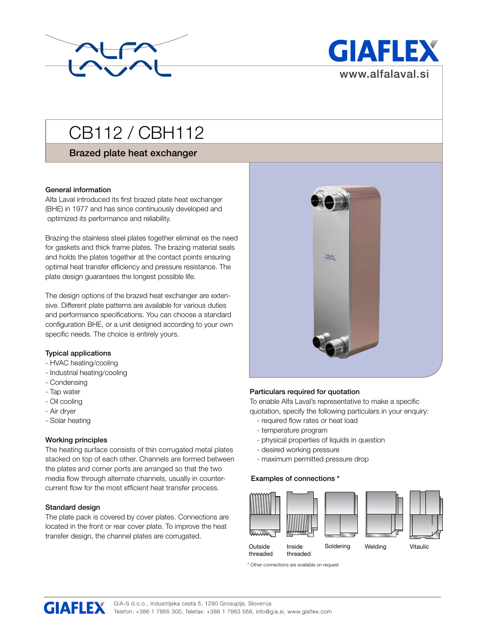



# CB112 / CBH112

# Brazed plate heat exchanger

# General information

Alfa Laval introduced its first brazed plate heat exchanger (BHE) in 1977 and has since continuously developed and optimized its performance and reliability.

Brazing the stainless steel plates together eliminat es the need for gaskets and thick frame plates. The brazing material seals and holds the plates together at the contact points ensuring optimal heat transfer efficiency and pressure resistance. The plate design guarantees the longest possible life.

The design options of the brazed heat exchanger are extensive. Different plate patterns are available for various duties and performance specifications. You can choose a standard configuration BHE, or a unit designed according to your own specific needs. The choice is entirely yours.

#### Typical applications

- HVAC heating/cooling
- Industrial heating/cooling
- Condensing
- Tap water
- Oil cooling
- Air dryer
- Solar heating

#### Working principles

The heating surface consists of thin corrugated metal plates stacked on top of each other. Channels are formed between the plates and corner ports are arranged so that the two media flow through alternate channels, usually in countercurrent flow for the most efficient heat transfer process.

#### Standard design

The plate pack is covered by cover plates. Connections are located in the front or rear cover plate. To improve the heat transfer design, the channel plates are corrugated.



#### Particulars required for quotation

To enable Alfa Laval's representative to make a specific quotation, specify the following particulars in your enquiry:

- required flow rates or heat load
- temperature program
- physical properties of liquids in question
- desired working pressure
- maximum permitted pressure drop

#### Examples of connections \*



\* Other connections are available on request